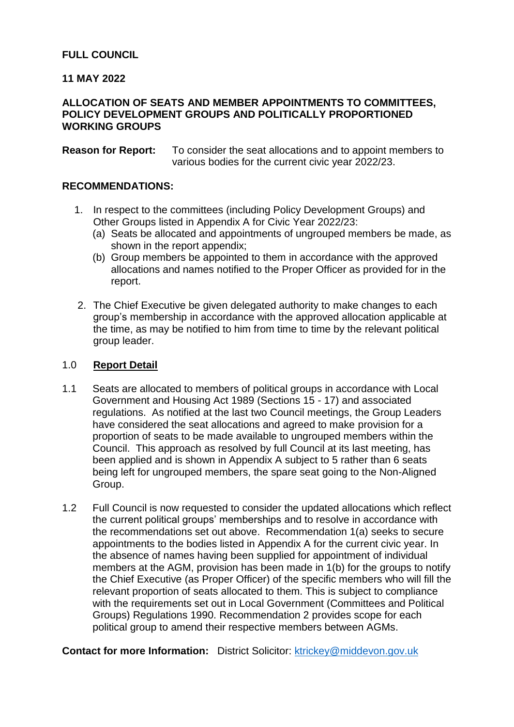## **FULL COUNCIL**

## **11 MAY 2022**

## **ALLOCATION OF SEATS AND MEMBER APPOINTMENTS TO COMMITTEES, POLICY DEVELOPMENT GROUPS AND POLITICALLY PROPORTIONED WORKING GROUPS**

**Reason for Report:** To consider the seat allocations and to appoint members to various bodies for the current civic year 2022/23.

#### **RECOMMENDATIONS:**

- 1. In respect to the committees (including Policy Development Groups) and Other Groups listed in Appendix A for Civic Year 2022/23:
	- (a) Seats be allocated and appointments of ungrouped members be made, as shown in the report appendix;
	- (b) Group members be appointed to them in accordance with the approved allocations and names notified to the Proper Officer as provided for in the report.
- 2. The Chief Executive be given delegated authority to make changes to each group's membership in accordance with the approved allocation applicable at the time, as may be notified to him from time to time by the relevant political group leader.

#### 1.0 **Report Detail**

- 1.1 Seats are allocated to members of political groups in accordance with Local Government and Housing Act 1989 (Sections 15 - 17) and associated regulations. As notified at the last two Council meetings, the Group Leaders have considered the seat allocations and agreed to make provision for a proportion of seats to be made available to ungrouped members within the Council. This approach as resolved by full Council at its last meeting, has been applied and is shown in Appendix A subject to 5 rather than 6 seats being left for ungrouped members, the spare seat going to the Non-Aligned Group.
- 1.2 Full Council is now requested to consider the updated allocations which reflect the current political groups' memberships and to resolve in accordance with the recommendations set out above. Recommendation 1(a) seeks to secure appointments to the bodies listed in Appendix A for the current civic year. In the absence of names having been supplied for appointment of individual members at the AGM, provision has been made in 1(b) for the groups to notify the Chief Executive (as Proper Officer) of the specific members who will fill the relevant proportion of seats allocated to them. This is subject to compliance with the requirements set out in Local Government (Committees and Political Groups) Regulations 1990. Recommendation 2 provides scope for each political group to amend their respective members between AGMs.

**Contact for more Information:** District Solicitor: [ktrickey@middevon.gov.uk](mailto:ktrickey@middevon.gov.uk)